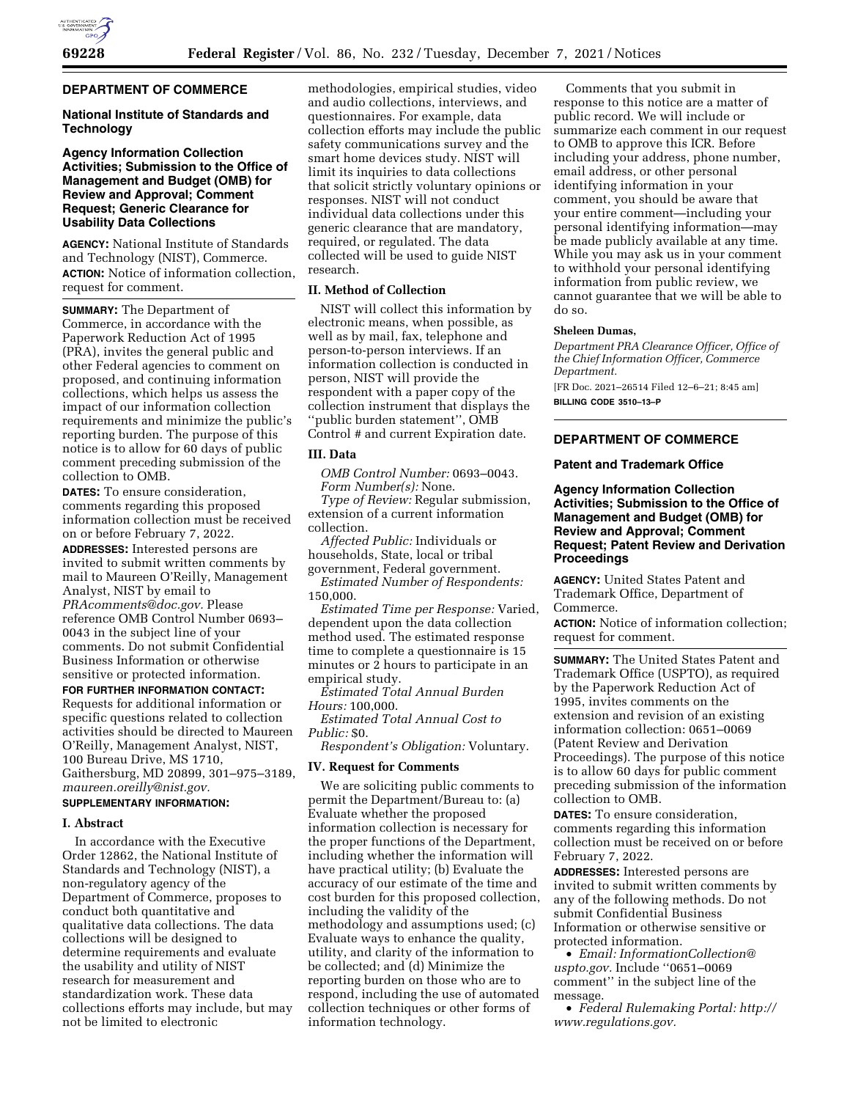

## **DEPARTMENT OF COMMERCE**

# **National Institute of Standards and Technology**

## **Agency Information Collection Activities; Submission to the Office of Management and Budget (OMB) for Review and Approval; Comment Request; Generic Clearance for Usability Data Collections**

**AGENCY:** National Institute of Standards and Technology (NIST), Commerce. **ACTION:** Notice of information collection, request for comment.

**SUMMARY:** The Department of Commerce, in accordance with the Paperwork Reduction Act of 1995 (PRA), invites the general public and other Federal agencies to comment on proposed, and continuing information collections, which helps us assess the impact of our information collection requirements and minimize the public's reporting burden. The purpose of this notice is to allow for 60 days of public comment preceding submission of the collection to OMB.

**DATES:** To ensure consideration, comments regarding this proposed information collection must be received on or before February 7, 2022. **ADDRESSES:** Interested persons are invited to submit written comments by mail to Maureen O'Reilly, Management Analyst, NIST by email to *[PRAcomments@doc.gov.](mailto:PRAcomments@doc.gov)* Please reference OMB Control Number 0693–

0043 in the subject line of your comments. Do not submit Confidential Business Information or otherwise sensitive or protected information.

**FOR FURTHER INFORMATION CONTACT:**  Requests for additional information or specific questions related to collection activities should be directed to Maureen O'Reilly, Management Analyst, NIST, 100 Bureau Drive, MS 1710, Gaithersburg, MD 20899, 301–975–3189, *[maureen.oreilly@nist.gov.](mailto:maureen.oreilly@nist.gov)* 

# **SUPPLEMENTARY INFORMATION:**

### **I. Abstract**

In accordance with the Executive Order 12862, the National Institute of Standards and Technology (NIST), a non-regulatory agency of the Department of Commerce, proposes to conduct both quantitative and qualitative data collections. The data collections will be designed to determine requirements and evaluate the usability and utility of NIST research for measurement and standardization work. These data collections efforts may include, but may not be limited to electronic

methodologies, empirical studies, video and audio collections, interviews, and questionnaires. For example, data collection efforts may include the public safety communications survey and the smart home devices study. NIST will limit its inquiries to data collections that solicit strictly voluntary opinions or responses. NIST will not conduct individual data collections under this generic clearance that are mandatory, required, or regulated. The data collected will be used to guide NIST research.

# **II. Method of Collection**

NIST will collect this information by electronic means, when possible, as well as by mail, fax, telephone and person-to-person interviews. If an information collection is conducted in person, NIST will provide the respondent with a paper copy of the collection instrument that displays the ''public burden statement'', OMB Control # and current Expiration date.

### **III. Data**

*OMB Control Number:* 0693–0043. *Form Number(s):* None. *Type of Review:* Regular submission, extension of a current information collection.

*Affected Public:* Individuals or households, State, local or tribal government, Federal government.

*Estimated Number of Respondents:*  150,000.

*Estimated Time per Response:* Varied, dependent upon the data collection method used. The estimated response time to complete a questionnaire is 15 minutes or 2 hours to participate in an empirical study.

*Estimated Total Annual Burden Hours:* 100,000.

*Estimated Total Annual Cost to Public:* \$0.

*Respondent's Obligation:* Voluntary.

# **IV. Request for Comments**

We are soliciting public comments to permit the Department/Bureau to: (a) Evaluate whether the proposed information collection is necessary for the proper functions of the Department, including whether the information will have practical utility; (b) Evaluate the accuracy of our estimate of the time and cost burden for this proposed collection, including the validity of the methodology and assumptions used; (c) Evaluate ways to enhance the quality, utility, and clarity of the information to be collected; and (d) Minimize the reporting burden on those who are to respond, including the use of automated collection techniques or other forms of information technology.

Comments that you submit in response to this notice are a matter of public record. We will include or summarize each comment in our request to OMB to approve this ICR. Before including your address, phone number, email address, or other personal identifying information in your comment, you should be aware that your entire comment—including your personal identifying information—may be made publicly available at any time. While you may ask us in your comment to withhold your personal identifying information from public review, we cannot guarantee that we will be able to do so.

#### **Sheleen Dumas,**

*Department PRA Clearance Officer, Office of the Chief Information Officer, Commerce Department.* 

[FR Doc. 2021–26514 Filed 12–6–21; 8:45 am] **BILLING CODE 3510–13–P** 

## **DEPARTMENT OF COMMERCE**

### **Patent and Trademark Office**

**Agency Information Collection Activities; Submission to the Office of Management and Budget (OMB) for Review and Approval; Comment Request; Patent Review and Derivation Proceedings** 

**AGENCY:** United States Patent and Trademark Office, Department of Commerce.

**ACTION:** Notice of information collection; request for comment.

**SUMMARY:** The United States Patent and Trademark Office (USPTO), as required by the Paperwork Reduction Act of 1995, invites comments on the extension and revision of an existing information collection: 0651–0069 (Patent Review and Derivation Proceedings). The purpose of this notice is to allow 60 days for public comment preceding submission of the information collection to OMB.

**DATES:** To ensure consideration, comments regarding this information collection must be received on or before February 7, 2022.

**ADDRESSES:** Interested persons are invited to submit written comments by any of the following methods. Do not submit Confidential Business Information or otherwise sensitive or protected information.

• *Email: [InformationCollection@](mailto:InformationCollection@uspto.gov) [uspto.gov.](mailto:InformationCollection@uspto.gov)* Include ''0651–0069 comment'' in the subject line of the message.

• *Federal Rulemaking Portal: [http://](http://www.regulations.gov) [www.regulations.gov.](http://www.regulations.gov)*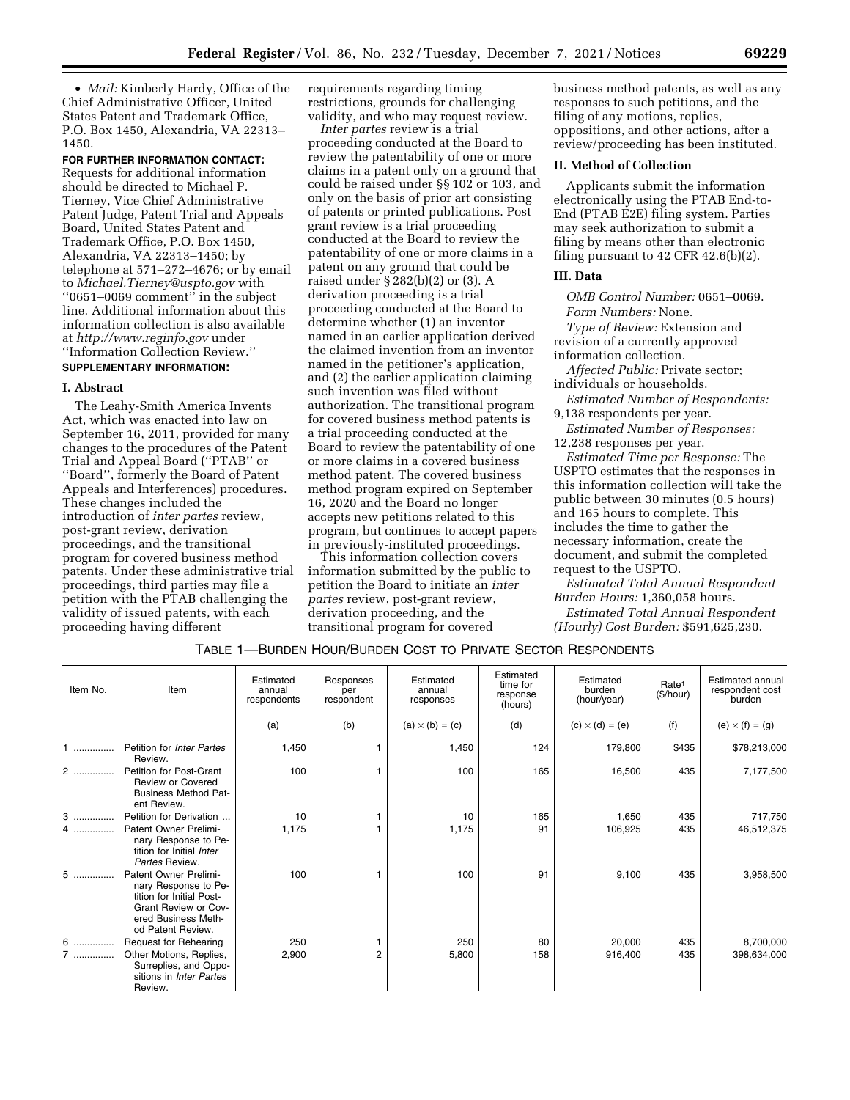• *Mail:* Kimberly Hardy, Office of the Chief Administrative Officer, United States Patent and Trademark Office, P.O. Box 1450, Alexandria, VA 22313– 1450.

**FOR FURTHER INFORMATION CONTACT:**  Requests for additional information should be directed to Michael P. Tierney, Vice Chief Administrative Patent Judge, Patent Trial and Appeals Board, United States Patent and Trademark Office, P.O. Box 1450, Alexandria, VA 22313–1450; by telephone at 571–272–4676; or by email to *[Michael.Tierney@uspto.gov](mailto:Michael.Tierney@uspto.gov)* with ''0651–0069 comment'' in the subject line. Additional information about this information collection is also available at *<http://www.reginfo.gov>*under ''Information Collection Review.'' **SUPPLEMENTARY INFORMATION:** 

#### **I. Abstract**

The Leahy-Smith America Invents Act, which was enacted into law on September 16, 2011, provided for many changes to the procedures of the Patent Trial and Appeal Board (''PTAB'' or ''Board'', formerly the Board of Patent Appeals and Interferences) procedures. These changes included the introduction of *inter partes* review, post-grant review, derivation proceedings, and the transitional program for covered business method patents. Under these administrative trial proceedings, third parties may file a petition with the PTAB challenging the validity of issued patents, with each proceeding having different

requirements regarding timing restrictions, grounds for challenging validity, and who may request review.

*Inter partes* review is a trial proceeding conducted at the Board to review the patentability of one or more claims in a patent only on a ground that could be raised under §§ 102 or 103, and only on the basis of prior art consisting of patents or printed publications. Post grant review is a trial proceeding conducted at the Board to review the patentability of one or more claims in a patent on any ground that could be raised under § 282(b)(2) or (3). A derivation proceeding is a trial proceeding conducted at the Board to determine whether (1) an inventor named in an earlier application derived the claimed invention from an inventor named in the petitioner's application, and (2) the earlier application claiming such invention was filed without authorization. The transitional program for covered business method patents is a trial proceeding conducted at the Board to review the patentability of one or more claims in a covered business method patent. The covered business method program expired on September 16, 2020 and the Board no longer accepts new petitions related to this program, but continues to accept papers in previously-instituted proceedings.

This information collection covers information submitted by the public to petition the Board to initiate an *inter partes* review, post-grant review, derivation proceeding, and the transitional program for covered

business method patents, as well as any responses to such petitions, and the filing of any motions, replies, oppositions, and other actions, after a review/proceeding has been instituted.

## **II. Method of Collection**

Applicants submit the information electronically using the PTAB End-to-End (PTAB E2E) filing system. Parties may seek authorization to submit a filing by means other than electronic filing pursuant to 42 CFR 42.6(b)(2).

#### **III. Data**

*OMB Control Number:* 0651–0069. *Form Numbers:* None.

*Type of Review:* Extension and revision of a currently approved information collection.

*Affected Public:* Private sector; individuals or households.

*Estimated Number of Respondents:*  9,138 respondents per year.

*Estimated Number of Responses:*  12,238 responses per year.

*Estimated Time per Response:* The USPTO estimates that the responses in this information collection will take the public between 30 minutes (0.5 hours) and 165 hours to complete. This includes the time to gather the necessary information, create the document, and submit the completed request to the USPTO.

*Estimated Total Annual Respondent Burden Hours:* 1,360,058 hours.

*Estimated Total Annual Respondent (Hourly) Cost Burden:* \$591,625,230.

## TABLE 1—BURDEN HOUR/BURDEN COST TO PRIVATE SECTOR RESPONDENTS

| Item No. | Item                                                                                                                                          | Estimated<br>annual<br>respondents | Responses<br>per<br>respondent | Estimated<br>annual<br>responses | Estimated<br>time for<br>response<br>(hours) | Estimated<br>burden<br>(hour/year) | Rate <sup>1</sup><br>(\$/hour) | Estimated annual<br>respondent cost<br>burden |
|----------|-----------------------------------------------------------------------------------------------------------------------------------------------|------------------------------------|--------------------------------|----------------------------------|----------------------------------------------|------------------------------------|--------------------------------|-----------------------------------------------|
|          |                                                                                                                                               | (a)                                | (b)                            | $(a) \times (b) = (c)$           | (d)                                          | $(c) \times (d) = (e)$             | (f)                            | (e) $\times$ (f) = (g)                        |
| .        | Petition for <i>Inter Partes</i><br>Review.                                                                                                   | 1,450                              |                                | 1,450                            | 124                                          | 179,800                            | \$435                          | \$78,213,000                                  |
| 2        | Petition for Post-Grant<br><b>Review or Covered</b><br><b>Business Method Pat-</b><br>ent Review.                                             | 100                                |                                | 100                              | 165                                          | 16,500                             | 435                            | 7,177,500                                     |
| $3$      | Petition for Derivation                                                                                                                       | 10                                 |                                | 10                               | 165                                          | 1,650                              | 435                            | 717,750                                       |
| $4\,$    | Patent Owner Prelimi-<br>nary Response to Pe-<br>tition for Initial Inter<br>Partes Review.                                                   | 1,175                              |                                | 1,175                            | 91                                           | 106,925                            | 435                            | 46,512,375                                    |
| 5        | Patent Owner Prelimi-<br>nary Response to Pe-<br>tition for Initial Post-<br>Grant Review or Cov-<br>ered Business Meth-<br>od Patent Review. | 100                                |                                | 100                              | 91                                           | 9,100                              | 435                            | 3,958,500                                     |
| 6        | <b>Request for Rehearing</b>                                                                                                                  | 250                                |                                | 250                              | 80                                           | 20,000                             | 435                            | 8,700,000                                     |
| 7        | Other Motions, Replies,<br>Surreplies, and Oppo-<br>sitions in Inter Partes<br>Review.                                                        | 2,900                              | 2                              | 5,800                            | 158                                          | 916,400                            | 435                            | 398,634,000                                   |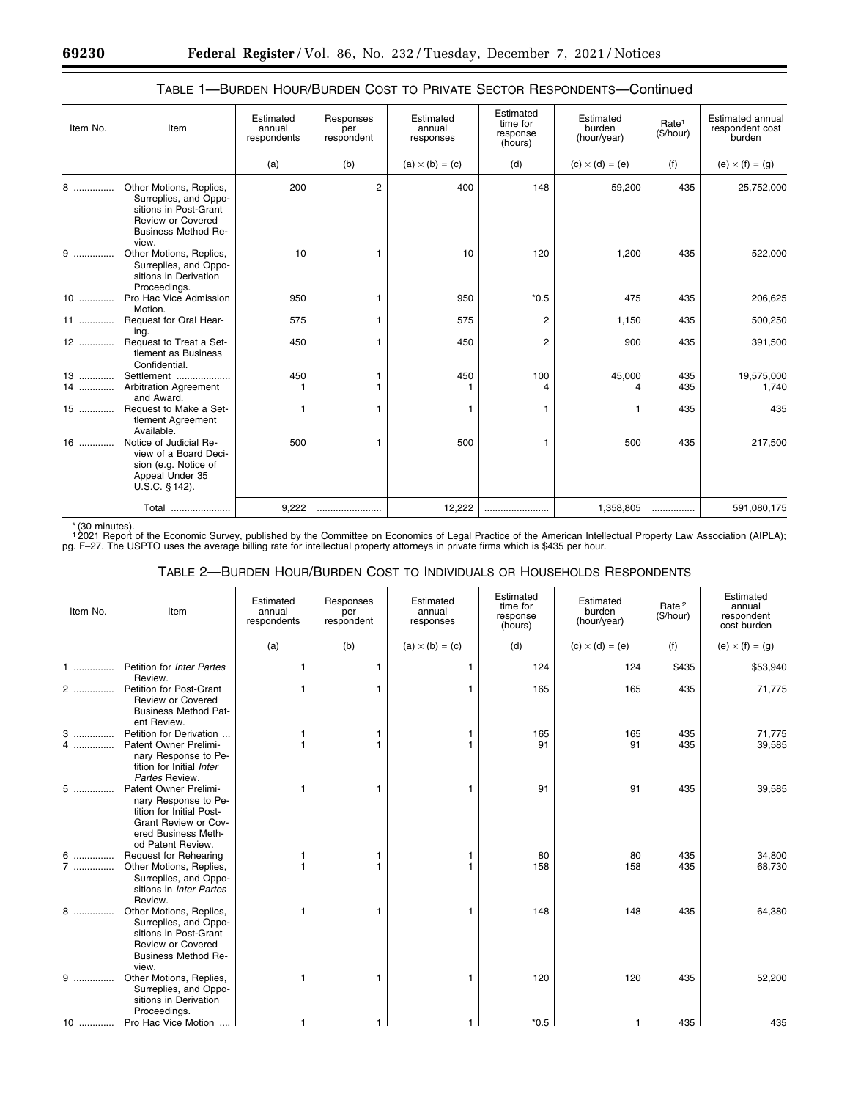| Item No. | Item                                                                                                                                         | Estimated<br>annual<br>respondents | Responses<br>per<br>respondent | Estimated<br>annual<br>responses | Estimated<br>time for<br>response<br>(hours) | Estimated<br>burden<br>(hour/year) | Rate <sup>1</sup><br>(\$/hour) | <b>Estimated annual</b><br>respondent cost<br>burden |
|----------|----------------------------------------------------------------------------------------------------------------------------------------------|------------------------------------|--------------------------------|----------------------------------|----------------------------------------------|------------------------------------|--------------------------------|------------------------------------------------------|
|          |                                                                                                                                              | (a)                                | (b)                            | $(a) \times (b) = (c)$           | (d)                                          | $(c) \times (d) = (e)$             | (f)                            | (e) $\times$ (f) = (g)                               |
| 8        | Other Motions, Replies,<br>Surreplies, and Oppo-<br>sitions in Post-Grant<br><b>Review or Covered</b><br><b>Business Method Re-</b><br>view. | 200                                | $\overline{2}$                 | 400                              | 148                                          | 59,200                             | 435                            | 25,752,000                                           |
| $9$      | Other Motions, Replies,<br>Surreplies, and Oppo-<br>sitions in Derivation<br>Proceedings.                                                    | 10                                 |                                | 10                               | 120                                          | 1,200                              | 435                            | 522,000                                              |
| $10$     | Pro Hac Vice Admission<br>Motion.                                                                                                            | 950                                |                                | 950                              | $*0.5$                                       | 475                                | 435                            | 206,625                                              |
| 11       | Request for Oral Hear-<br>ing.                                                                                                               | 575                                |                                | 575                              | 2                                            | 1,150                              | 435                            | 500,250                                              |
| 12       | Request to Treat a Set-<br>tlement as Business<br>Confidential.                                                                              | 450                                |                                | 450                              | 2                                            | 900                                | 435                            | 391,500                                              |
| 13       | Settlement                                                                                                                                   | 450                                |                                | 450                              | 100                                          | 45,000                             | 435                            | 19,575,000                                           |
| $14$     | Arbitration Agreement<br>and Award.                                                                                                          |                                    |                                |                                  | 4                                            |                                    | 435                            | 1,740                                                |
| $15$     | Request to Make a Set-<br>tlement Agreement<br>Available.                                                                                    |                                    |                                | 1                                |                                              |                                    | 435                            | 435                                                  |
| 16       | Notice of Judicial Re-<br>view of a Board Deci-<br>sion (e.g. Notice of<br>Appeal Under 35<br>U.S.C. § 142).                                 | 500                                |                                | 500                              |                                              | 500                                | 435                            | 217,500                                              |
|          | Total                                                                                                                                        | 9,222                              |                                | 12,222                           |                                              | 1,358,805                          |                                | 591,080,175                                          |

# TABLE 1—BURDEN HOUR/BURDEN COST TO PRIVATE SECTOR RESPONDENTS—Continued

\* (30 minutes).<br><sup>1</sup> 2021 Report of the Economic Survey, published by the Committee on Economics of Legal Practice of the American Intellectual Property Law Association (AIPLA);<br>pg. F–27. The USPTO uses the average billing

# TABLE 2—BURDEN HOUR/BURDEN COST TO INDIVIDUALS OR HOUSEHOLDS RESPONDENTS

| Item No.   | Item                                                                                                                                          | Estimated<br>annual<br>respondents | Responses<br>per<br>respondent | Estimated<br>annual<br>responses | Estimated<br>time for<br>response<br>(hours) | Estimated<br>burden<br>(hour/year) | Rate <sup>2</sup><br>(\$/hour) | Estimated<br>annual<br>respondent<br>cost burden |
|------------|-----------------------------------------------------------------------------------------------------------------------------------------------|------------------------------------|--------------------------------|----------------------------------|----------------------------------------------|------------------------------------|--------------------------------|--------------------------------------------------|
|            |                                                                                                                                               | (a)                                | (b)                            | $(a) \times (b) = (c)$           | (d)                                          | $(c) \times (d) = (e)$             | (f)                            | (e) $\times$ (f) = (g)                           |
| 1          | Petition for Inter Partes<br>Review.                                                                                                          |                                    | 1                              | 1                                | 124                                          | 124                                | \$435                          | \$53,940                                         |
| 2          | Petition for Post-Grant<br><b>Review or Covered</b><br><b>Business Method Pat-</b><br>ent Review.                                             |                                    | 1                              | 1                                | 165                                          | 165                                | 435                            | 71,775                                           |
| $3$        | Petition for Derivation                                                                                                                       |                                    |                                | 1                                | 165                                          | 165                                | 435                            | 71,775                                           |
| 4<br>.     | Patent Owner Prelimi-<br>nary Response to Pe-<br>tition for Initial Inter<br>Partes Review.                                                   |                                    | 1                              | 1                                | 91                                           | 91                                 | 435                            | 39,585                                           |
| $5$        | Patent Owner Prelimi-<br>nary Response to Pe-<br>tition for Initial Post-<br>Grant Review or Cov-<br>ered Business Meth-<br>od Patent Review. |                                    | 1                              | 1                                | 91                                           | 91                                 | 435                            | 39,585                                           |
| $6$<br>$7$ | <b>Request for Rehearing</b><br>Other Motions, Replies,<br>Surreplies, and Oppo-<br>sitions in Inter Partes<br>Review.                        |                                    |                                | 1<br>1                           | 80<br>158                                    | 80<br>158                          | 435<br>435                     | 34,800<br>68,730                                 |
|            | Other Motions, Replies,<br>Surreplies, and Oppo-<br>sitions in Post-Grant<br><b>Review or Covered</b><br><b>Business Method Re-</b><br>view.  |                                    | 1                              | 1                                | 148                                          | 148                                | 435                            | 64,380                                           |
| $9$        | Other Motions, Replies,<br>Surreplies, and Oppo-<br>sitions in Derivation<br>Proceedings.                                                     |                                    |                                | 1                                | 120                                          | 120                                | 435                            | 52,200                                           |
| $10$       | Pro Hac Vice Motion                                                                                                                           |                                    |                                | 1                                | $*0.5$                                       | 1.                                 | 435                            | 435                                              |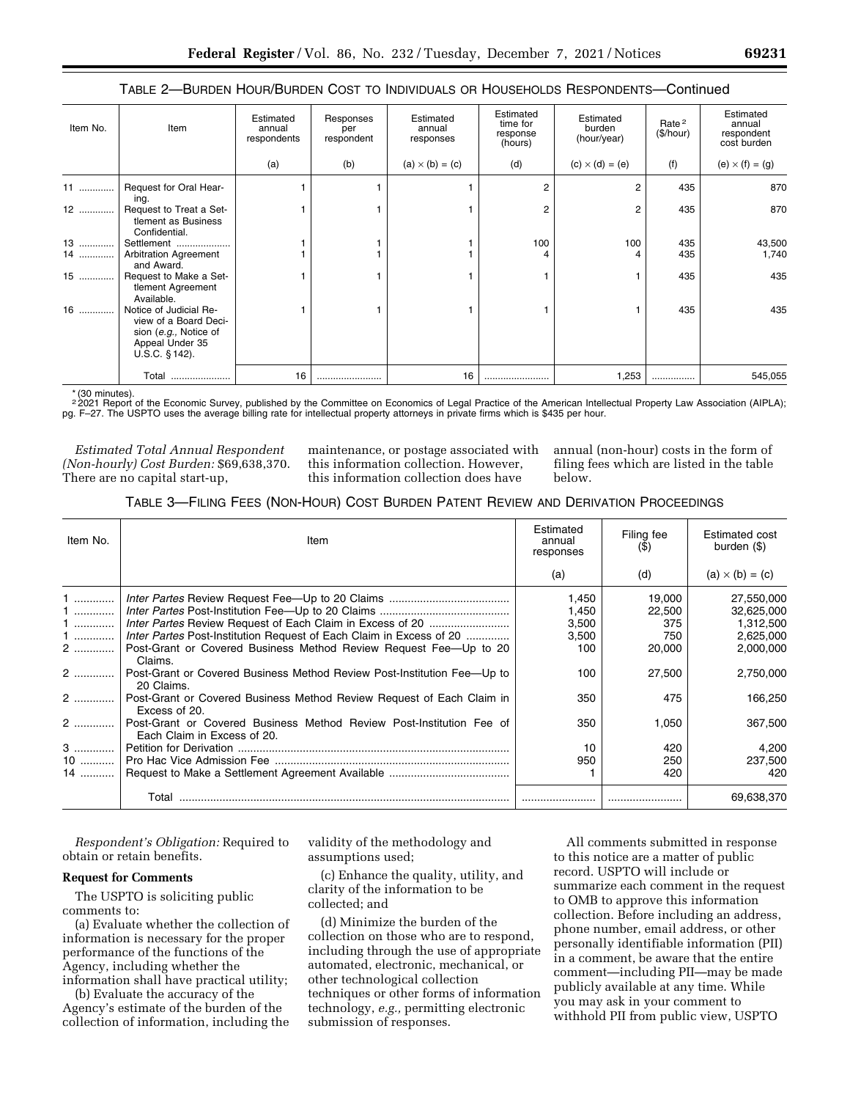### TABLE 2—BURDEN HOUR/BURDEN COST TO INDIVIDUALS OR HOUSEHOLDS RESPONDENTS—Continued

| Item No. | Item                                                                                                            | Estimated<br>annual<br>respondents | Responses<br>per<br>respondent | Estimated<br>annual<br>responses | Estimated<br>time for<br>response<br>(hours) | Estimated<br>burden<br>(hour/year) | Rate <sup>2</sup><br>(\$/hour) | Estimated<br>annual<br>respondent<br>cost burden |
|----------|-----------------------------------------------------------------------------------------------------------------|------------------------------------|--------------------------------|----------------------------------|----------------------------------------------|------------------------------------|--------------------------------|--------------------------------------------------|
|          |                                                                                                                 | (a)                                | (b)                            | $(a) \times (b) = (c)$           | (d)                                          | $(c) \times (d) = (e)$             | (f)                            | (e) $\times$ (f) = (g)                           |
| 11       | Request for Oral Hear-<br>ing.                                                                                  |                                    |                                |                                  | $\overline{2}$                               | $\overline{2}$                     | 435                            | 870                                              |
| 12       | Request to Treat a Set-<br>tlement as Business<br>Confidential.                                                 |                                    |                                |                                  | $\overline{2}$                               | 2                                  | 435                            | 870                                              |
| 13       | Settlement                                                                                                      |                                    |                                |                                  | 100                                          | 100                                | 435                            | 43,500                                           |
| 14       | <b>Arbitration Agreement</b><br>and Award.                                                                      |                                    |                                |                                  |                                              |                                    | 435                            | 1,740                                            |
| 15       | Request to Make a Set-<br>tlement Agreement<br>Available.                                                       |                                    |                                |                                  |                                              |                                    | 435                            | 435                                              |
| $16$     | Notice of Judicial Re-<br>view of a Board Deci-<br>sion (e.g., Notice of<br>Appeal Under 35<br>$U.S.C.$ § 142). |                                    |                                |                                  |                                              |                                    | 435                            | 435                                              |
|          | Total                                                                                                           | 16                                 |                                | 16                               |                                              | 1,253                              |                                | 545,055                                          |

\* (30 minutes).

<sup>2</sup>2021 Report of the Economic Survey, published by the Committee on Economics of Legal Practice of the American Intellectual Property Law Association (AIPLA);<br>pg. F–27. The USPTO uses the average billing rate for intellec

*Estimated Total Annual Respondent (Non-hourly) Cost Burden:* \$69,638,370. There are no capital start-up,

maintenance, or postage associated with this information collection. However, this information collection does have

annual (non-hour) costs in the form of filing fees which are listed in the table below.

# TABLE 3—FILING FEES (NON-HOUR) COST BURDEN PATENT REVIEW AND DERIVATION PROCEEDINGS

| Item No.                                                       | Item                                                                                                                                                                                                                                                                                                                                                                                                                                          | Estimated<br>annual<br>responses                                          | Filing fee<br>(S)                                                                | <b>Estimated cost</b><br>burden (\$)                                                                                   |
|----------------------------------------------------------------|-----------------------------------------------------------------------------------------------------------------------------------------------------------------------------------------------------------------------------------------------------------------------------------------------------------------------------------------------------------------------------------------------------------------------------------------------|---------------------------------------------------------------------------|----------------------------------------------------------------------------------|------------------------------------------------------------------------------------------------------------------------|
|                                                                |                                                                                                                                                                                                                                                                                                                                                                                                                                               | (a)                                                                       | (d)                                                                              | $(a) \times (b) = (c)$                                                                                                 |
| $1$<br>1<br>$1$<br>$1$<br>2<br>$2$<br>2   <br>$2$<br>$3$<br>10 | Inter Partes Post-Institution Request of Each Claim in Excess of 20<br>Post-Grant or Covered Business Method Review Request Fee-Up to 20<br>Claims.<br>Post-Grant or Covered Business Method Review Post-Institution Fee-Up to<br>20 Claims.<br>Post-Grant or Covered Business Method Review Request of Each Claim in<br>Excess of 20.<br>Post-Grant or Covered Business Method Review Post-Institution Fee of<br>Each Claim in Excess of 20. | 1.450<br>1,450<br>3,500<br>3.500<br>100<br>100<br>350<br>350<br>10<br>950 | 19,000<br>22,500<br>375<br>750<br>20,000<br>27,500<br>475<br>1,050<br>420<br>250 | 27,550,000<br>32,625,000<br>1,312,500<br>2,625,000<br>2,000,000<br>2,750,000<br>166,250<br>367,500<br>4,200<br>237,500 |
| 14                                                             |                                                                                                                                                                                                                                                                                                                                                                                                                                               |                                                                           | 420                                                                              | 420                                                                                                                    |
|                                                                | Total                                                                                                                                                                                                                                                                                                                                                                                                                                         |                                                                           |                                                                                  | 69,638,370                                                                                                             |

*Respondent's Obligation:* Required to obtain or retain benefits.

## **Request for Comments**

The USPTO is soliciting public comments to:

(a) Evaluate whether the collection of information is necessary for the proper performance of the functions of the Agency, including whether the information shall have practical utility;

(b) Evaluate the accuracy of the Agency's estimate of the burden of the collection of information, including the validity of the methodology and assumptions used;

(c) Enhance the quality, utility, and clarity of the information to be collected; and

(d) Minimize the burden of the collection on those who are to respond, including through the use of appropriate automated, electronic, mechanical, or other technological collection techniques or other forms of information technology, *e.g.,* permitting electronic submission of responses.

All comments submitted in response to this notice are a matter of public record. USPTO will include or summarize each comment in the request to OMB to approve this information collection. Before including an address, phone number, email address, or other personally identifiable information (PII) in a comment, be aware that the entire comment—including PII—may be made publicly available at any time. While you may ask in your comment to withhold PII from public view, USPTO